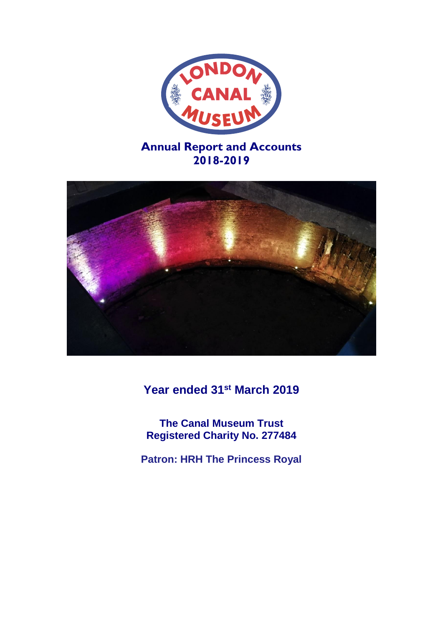



**Year ended 31st March 2019**

**The Canal Museum Trust Registered Charity No. 277484**

**Patron: HRH The Princess Royal**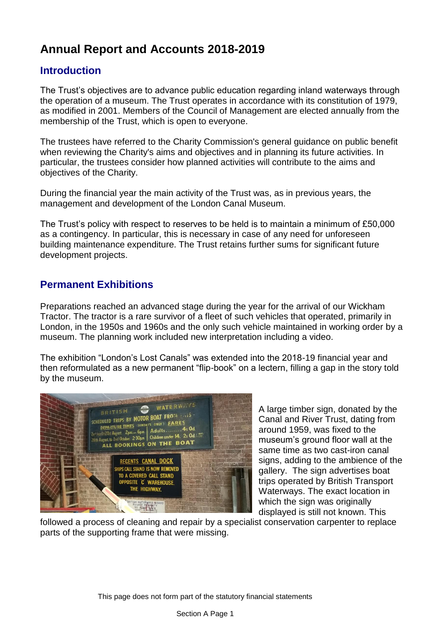# **Annual Report and Accounts 2018-2019**

# **Introduction**

The Trust's objectives are to advance public education regarding inland waterways through the operation of a museum. The Trust operates in accordance with its constitution of 1979, as modified in 2001. Members of the Council of Management are elected annually from the membership of the Trust, which is open to everyone.

The trustees have referred to the Charity Commission's general guidance on public benefit when reviewing the Charity's aims and objectives and in planning its future activities. In particular, the trustees consider how planned activities will contribute to the aims and objectives of the Charity.

During the financial year the main activity of the Trust was, as in previous years, the management and development of the London Canal Museum.

The Trust's policy with respect to reserves to be held is to maintain a minimum of £50,000 as a contingency. In particular, this is necessary in case of any need for unforeseen building maintenance expenditure. The Trust retains further sums for significant future development projects.

# **Permanent Exhibitions**

Preparations reached an advanced stage during the year for the arrival of our Wickham Tractor. The tractor is a rare survivor of a fleet of such vehicles that operated, primarily in London, in the 1950s and 1960s and the only such vehicle maintained in working order by a museum. The planning work included new interpretation including a video.

The exhibition "London's Lost Canals" was extended into the 2018-19 financial year and then reformulated as a new permanent "flip-book" on a lectern, filling a gap in the story told by the museum.



A large timber sign, donated by the Canal and River Trust, dating from around 1959, was fixed to the museum's ground floor wall at the same time as two cast-iron canal signs, adding to the ambience of the gallery. The sign advertises boat trips operated by British Transport Waterways. The exact location in which the sign was originally displayed is still not known. This

followed a process of cleaning and repair by a specialist conservation carpenter to replace parts of the supporting frame that were missing.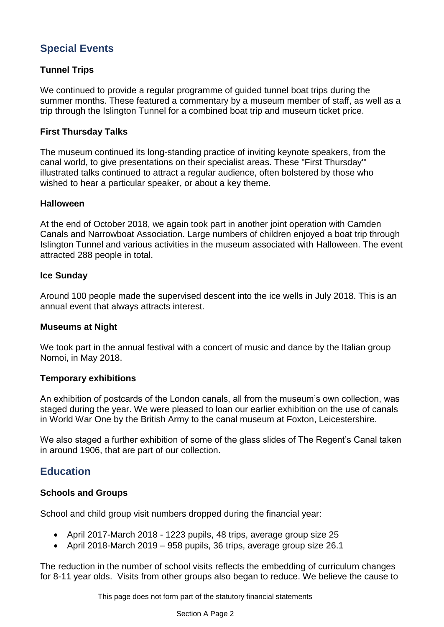# **Special Events**

# **Tunnel Trips**

We continued to provide a regular programme of guided tunnel boat trips during the summer months. These featured a commentary by a museum member of staff, as well as a trip through the Islington Tunnel for a combined boat trip and museum ticket price.

# **First Thursday Talks**

The museum continued its long-standing practice of inviting keynote speakers, from the canal world, to give presentations on their specialist areas. These "First Thursday'" illustrated talks continued to attract a regular audience, often bolstered by those who wished to hear a particular speaker, or about a key theme.

# **Halloween**

At the end of October 2018, we again took part in another joint operation with Camden Canals and Narrowboat Association. Large numbers of children enjoyed a boat trip through Islington Tunnel and various activities in the museum associated with Halloween. The event attracted 288 people in total.

# **Ice Sunday**

Around 100 people made the supervised descent into the ice wells in July 2018. This is an annual event that always attracts interest.

# **Museums at Night**

We took part in the annual festival with a concert of music and dance by the Italian group Nomoi, in May 2018.

# **Temporary exhibitions**

An exhibition of postcards of the London canals, all from the museum's own collection, was staged during the year. We were pleased to loan our earlier exhibition on the use of canals in World War One by the British Army to the canal museum at Foxton, Leicestershire.

We also staged a further exhibition of some of the glass slides of The Regent's Canal taken in around 1906, that are part of our collection.

# **Education**

# **Schools and Groups**

School and child group visit numbers dropped during the financial year:

- April 2017-March 2018 1223 pupils, 48 trips, average group size 25
- April 2018-March 2019 958 pupils, 36 trips, average group size 26.1

The reduction in the number of school visits reflects the embedding of curriculum changes for 8-11 year olds. Visits from other groups also began to reduce. We believe the cause to

This page does not form part of the statutory financial statements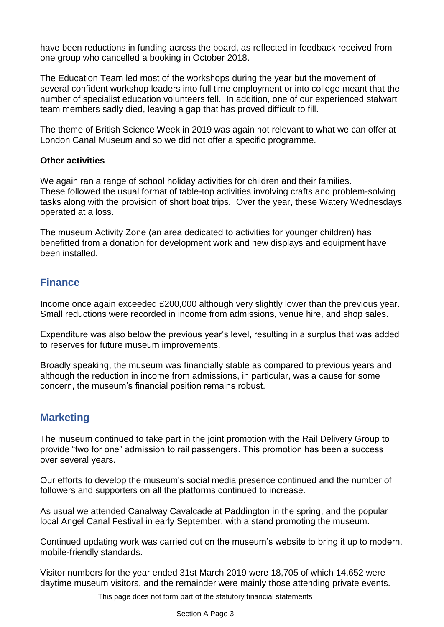have been reductions in funding across the board, as reflected in feedback received from one group who cancelled a booking in October 2018.

The Education Team led most of the workshops during the year but the movement of several confident workshop leaders into full time employment or into college meant that the number of specialist education volunteers fell. In addition, one of our experienced stalwart team members sadly died, leaving a gap that has proved difficult to fill.

The theme of British Science Week in 2019 was again not relevant to what we can offer at London Canal Museum and so we did not offer a specific programme.

# **Other activities**

We again ran a range of school holiday activities for children and their families. These followed the usual format of table-top activities involving crafts and problem-solving tasks along with the provision of short boat trips. Over the year, these Watery Wednesdays operated at a loss.

The museum Activity Zone (an area dedicated to activities for younger children) has benefitted from a donation for development work and new displays and equipment have been installed.

# **Finance**

Income once again exceeded £200,000 although very slightly lower than the previous year. Small reductions were recorded in income from admissions, venue hire, and shop sales.

Expenditure was also below the previous year's level, resulting in a surplus that was added to reserves for future museum improvements.

Broadly speaking, the museum was financially stable as compared to previous years and although the reduction in income from admissions, in particular, was a cause for some concern, the museum's financial position remains robust.

# **Marketing**

The museum continued to take part in the joint promotion with the Rail Delivery Group to provide "two for one" admission to rail passengers. This promotion has been a success over several years.

Our efforts to develop the museum's social media presence continued and the number of followers and supporters on all the platforms continued to increase.

As usual we attended Canalway Cavalcade at Paddington in the spring, and the popular local Angel Canal Festival in early September, with a stand promoting the museum.

Continued updating work was carried out on the museum's website to bring it up to modern, mobile-friendly standards.

Visitor numbers for the year ended 31st March 2019 were 18,705 of which 14,652 were daytime museum visitors, and the remainder were mainly those attending private events.

This page does not form part of the statutory financial statements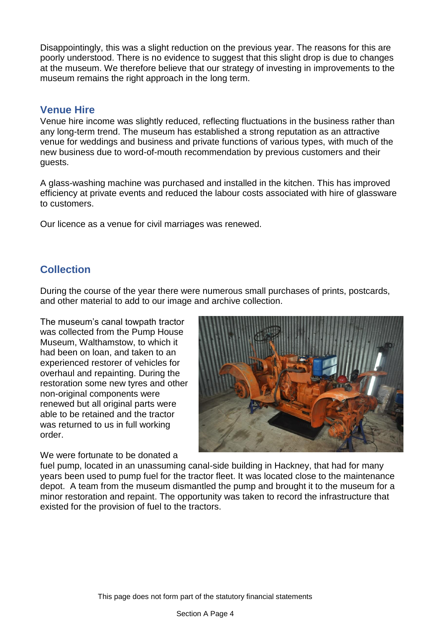Disappointingly, this was a slight reduction on the previous year. The reasons for this are poorly understood. There is no evidence to suggest that this slight drop is due to changes at the museum. We therefore believe that our strategy of investing in improvements to the museum remains the right approach in the long term.

# **Venue Hire**

Venue hire income was slightly reduced, reflecting fluctuations in the business rather than any long-term trend. The museum has established a strong reputation as an attractive venue for weddings and business and private functions of various types, with much of the new business due to word-of-mouth recommendation by previous customers and their guests.

A glass-washing machine was purchased and installed in the kitchen. This has improved efficiency at private events and reduced the labour costs associated with hire of glassware to customers.

Our licence as a venue for civil marriages was renewed.

# **Collection**

During the course of the year there were numerous small purchases of prints, postcards, and other material to add to our image and archive collection.

The museum's canal towpath tractor was collected from the Pump House Museum, Walthamstow, to which it had been on loan, and taken to an experienced restorer of vehicles for overhaul and repainting. During the restoration some new tyres and other non-original components were renewed but all original parts were able to be retained and the tractor was returned to us in full working order.

We were fortunate to be donated a



fuel pump, located in an unassuming canal-side building in Hackney, that had for many years been used to pump fuel for the tractor fleet. It was located close to the maintenance depot. A team from the museum dismantled the pump and brought it to the museum for a minor restoration and repaint. The opportunity was taken to record the infrastructure that existed for the provision of fuel to the tractors.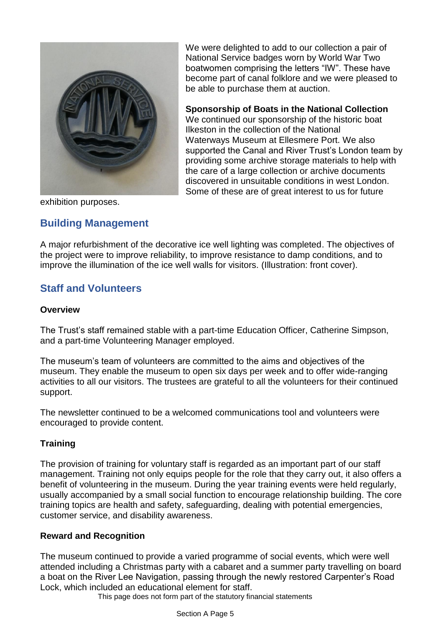

We were delighted to add to our collection a pair of National Service badges worn by World War Two boatwomen comprising the letters "IW". These have become part of canal folklore and we were pleased to be able to purchase them at auction.

**Sponsorship of Boats in the National Collection** We continued our sponsorship of the historic boat Ilkeston in the collection of the National Waterways Museum at Ellesmere Port. We also supported the Canal and River Trust's London team by providing some archive storage materials to help with the care of a large collection or archive documents discovered in unsuitable conditions in west London. Some of these are of great interest to us for future

exhibition purposes.

# **Building Management**

A major refurbishment of the decorative ice well lighting was completed. The objectives of the project were to improve reliability, to improve resistance to damp conditions, and to improve the illumination of the ice well walls for visitors. (Illustration: front cover).

# **Staff and Volunteers**

# **Overview**

The Trust's staff remained stable with a part-time Education Officer, Catherine Simpson, and a part-time Volunteering Manager employed.

The museum's team of volunteers are committed to the aims and objectives of the museum. They enable the museum to open six days per week and to offer wide-ranging activities to all our visitors. The trustees are grateful to all the volunteers for their continued support.

The newsletter continued to be a welcomed communications tool and volunteers were encouraged to provide content.

# **Training**

The provision of training for voluntary staff is regarded as an important part of our staff management. Training not only equips people for the role that they carry out, it also offers a benefit of volunteering in the museum. During the year training events were held regularly, usually accompanied by a small social function to encourage relationship building. The core training topics are health and safety, safeguarding, dealing with potential emergencies, customer service, and disability awareness.

# **Reward and Recognition**

The museum continued to provide a varied programme of social events, which were well attended including a Christmas party with a cabaret and a summer party travelling on board a boat on the River Lee Navigation, passing through the newly restored Carpenter's Road Lock, which included an educational element for staff.

This page does not form part of the statutory financial statements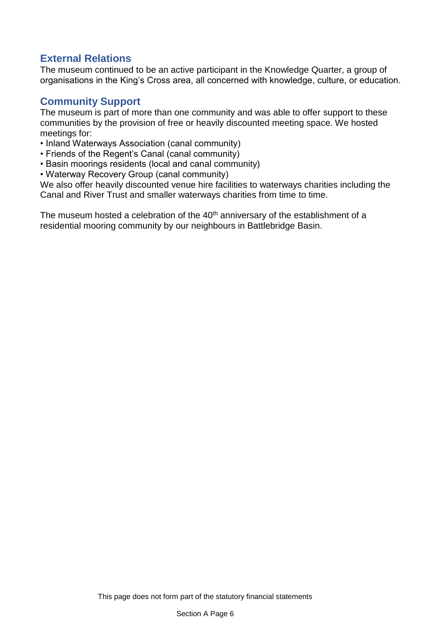# **External Relations**

The museum continued to be an active participant in the Knowledge Quarter, a group of organisations in the King's Cross area, all concerned with knowledge, culture, or education.

# **Community Support**

The museum is part of more than one community and was able to offer support to these communities by the provision of free or heavily discounted meeting space. We hosted meetings for:

- Inland Waterways Association (canal community)
- Friends of the Regent's Canal (canal community)
- Basin moorings residents (local and canal community)
- Waterway Recovery Group (canal community)

We also offer heavily discounted venue hire facilities to waterways charities including the Canal and River Trust and smaller waterways charities from time to time.

The museum hosted a celebration of the  $40<sup>th</sup>$  anniversary of the establishment of a residential mooring community by our neighbours in Battlebridge Basin.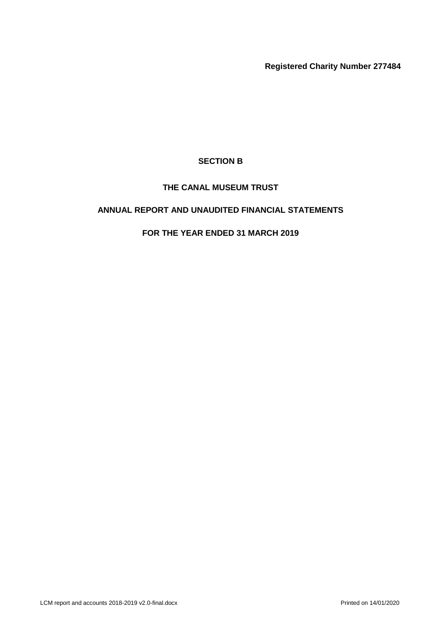**Registered Charity Number 277484**

# **SECTION B**

# **THE CANAL MUSEUM TRUST**

# **ANNUAL REPORT AND UNAUDITED FINANCIAL STATEMENTS**

# **FOR THE YEAR ENDED 31 MARCH 2019**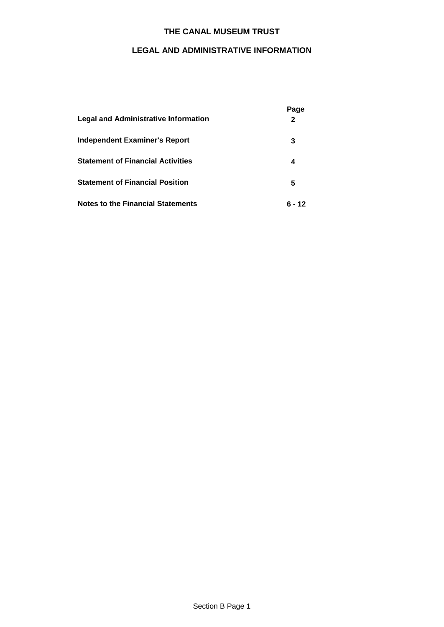# **LEGAL AND ADMINISTRATIVE INFORMATION**

| Legal and Administrative Information     | Page<br>$\mathbf{2}$ |
|------------------------------------------|----------------------|
| Independent Examiner's Report            | 3                    |
| <b>Statement of Financial Activities</b> | 4                    |
| <b>Statement of Financial Position</b>   | 5                    |
| <b>Notes to the Financial Statements</b> | ճ - 12               |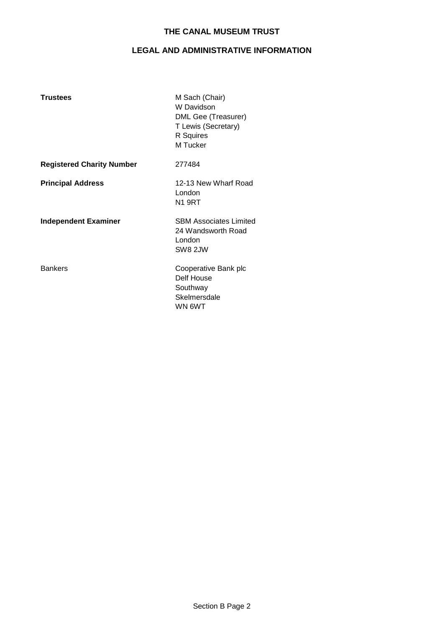# **LEGAL AND ADMINISTRATIVE INFORMATION**

| <b>Trustees</b>                  | M Sach (Chair)<br>W Davidson<br>DML Gee (Treasurer)<br>T Lewis (Secretary)<br>R Squires<br>M Tucker |
|----------------------------------|-----------------------------------------------------------------------------------------------------|
| <b>Registered Charity Number</b> | 277484                                                                                              |
| <b>Principal Address</b>         | 12-13 New Wharf Road<br>London<br>N1 9RT                                                            |
| <b>Independent Examiner</b>      | <b>SBM Associates Limited</b><br>24 Wandsworth Road<br>London<br>SW8 2JW                            |
| <b>Bankers</b>                   | Cooperative Bank plc<br>Delf House<br>Southway<br>Skelmersdale<br>WN 6WT                            |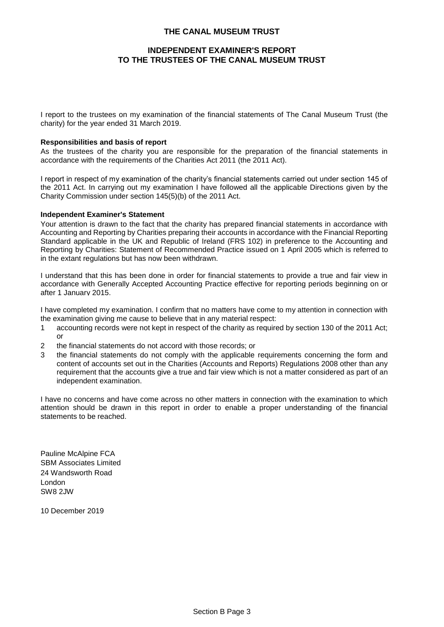## **INDEPENDENT EXAMINER'S REPORT TO THE TRUSTEES OF THE CANAL MUSEUM TRUST**

I report to the trustees on my examination of the financial statements of The Canal Museum Trust (the charity) for the year ended 31 March 2019.

#### **Responsibilities and basis of report**

As the trustees of the charity you are responsible for the preparation of the financial statements in accordance with the requirements of the Charities Act 2011 (the 2011 Act).

I report in respect of my examination of the charity's financial statements carried out under section 145 of the 2011 Act. In carrying out my examination I have followed all the applicable Directions given by the Charity Commission under section 145(5)(b) of the 2011 Act.

### **Independent Examiner's Statement**

Your attention is drawn to the fact that the charity has prepared financial statements in accordance with Accounting and Reporting by Charities preparing their accounts in accordance with the Financial Reporting Standard applicable in the UK and Republic of Ireland (FRS 102) in preference to the Accounting and Reporting by Charities: Statement of Recommended Practice issued on 1 April 2005 which is referred to in the extant regulations but has now been withdrawn.

I understand that this has been done in order for financial statements to provide a true and fair view in accordance with Generally Accepted Accounting Practice effective for reporting periods beginning on or after 1 January 2015.

I have completed my examination. I confirm that no matters have come to my attention in connection with the examination giving me cause to believe that in any material respect:

- 1 accounting records were not kept in respect of the charity as required by section 130 of the 2011 Act; or
- 2 the financial statements do not accord with those records; or
- 3 the financial statements do not comply with the applicable requirements concerning the form and content of accounts set out in the Charities (Accounts and Reports) Regulations 2008 other than any requirement that the accounts give a true and fair view which is not a matter considered as part of an independent examination.

I have no concerns and have come across no other matters in connection with the examination to which attention should be drawn in this report in order to enable a proper understanding of the financial statements to be reached.

Pauline McAlpine FCA SBM Associates Limited 24 Wandsworth Road London SW8 2JW

10 December 2019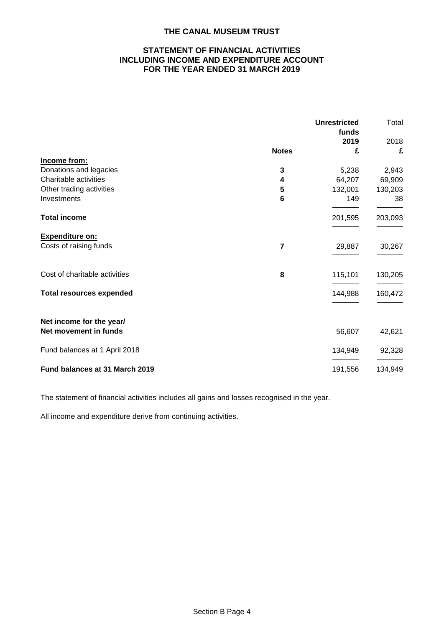## **STATEMENT OF FINANCIAL ACTIVITIES INCLUDING INCOME AND EXPENDITURE ACCOUNT FOR THE YEAR ENDED 31 MARCH 2019**

|                                 |                | <b>Unrestricted</b><br>funds | Total   |
|---------------------------------|----------------|------------------------------|---------|
|                                 |                | 2019                         | 2018    |
|                                 | <b>Notes</b>   | £                            | £       |
| Income from:                    |                |                              |         |
| Donations and legacies          | 3              | 5,238                        | 2,943   |
| Charitable activities           | 4              | 64,207                       | 69,909  |
| Other trading activities        | 5              | 132,001                      | 130,203 |
| Investments                     | 6              | 149                          | 38      |
| <b>Total income</b>             |                | 201,595                      | 203,093 |
| <b>Expenditure on:</b>          |                |                              |         |
| Costs of raising funds          | $\overline{7}$ | 29,887                       | 30,267  |
| Cost of charitable activities   | 8              | 115,101                      | 130,205 |
| <b>Total resources expended</b> |                | 144,988                      | 160,472 |
| Net income for the year/        |                |                              |         |
| Net movement in funds           |                | 56,607                       | 42,621  |
| Fund balances at 1 April 2018   |                | 134,949                      | 92,328  |
| Fund balances at 31 March 2019  |                | 191,556                      | 134,949 |
|                                 |                |                              |         |

The statement of financial activities includes all gains and losses recognised in the year.

All income and expenditure derive from continuing activities.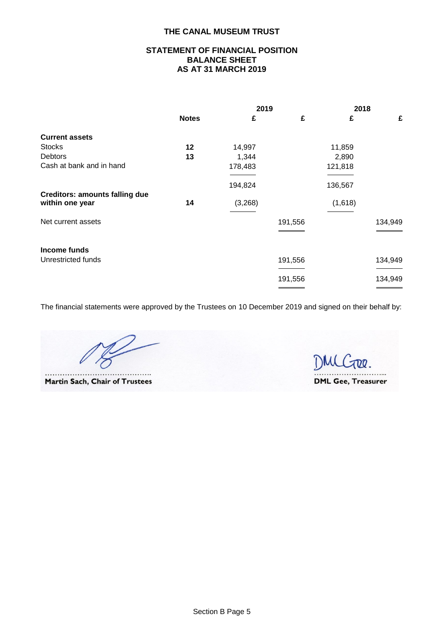## **STATEMENT OF FINANCIAL POSITION BALANCE SHEET AS AT 31 MARCH 2019**

|                                                          |              | 2019    |         | 2018    |         |
|----------------------------------------------------------|--------------|---------|---------|---------|---------|
|                                                          | <b>Notes</b> | £       | £       | £       | £       |
| <b>Current assets</b>                                    |              |         |         |         |         |
| <b>Stocks</b>                                            | 12           | 14,997  |         | 11,859  |         |
| <b>Debtors</b>                                           | 13           | 1,344   |         | 2,890   |         |
| Cash at bank and in hand                                 |              | 178,483 |         | 121,818 |         |
|                                                          |              |         |         |         |         |
|                                                          |              | 194,824 |         | 136,567 |         |
| <b>Creditors: amounts falling due</b><br>within one year | 14           | (3,268) |         | (1,618) |         |
| Net current assets                                       |              |         | 191,556 |         | 134,949 |
| Income funds                                             |              |         |         |         |         |
| Unrestricted funds                                       |              |         | 191,556 |         | 134,949 |
|                                                          |              |         | 191,556 |         | 134,949 |
|                                                          |              |         |         |         |         |

The financial statements were approved by the Trustees on 10 December 2019 and signed on their behalf by:

. . . . . .....

Martin Sach, Chair of Trustees

DMCTRR. **DML Gee, Treasurer**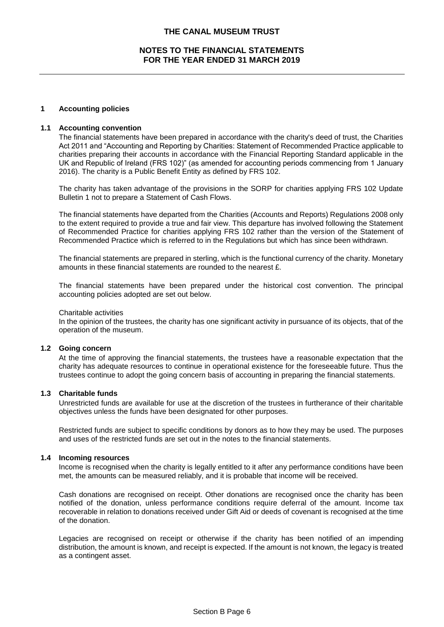## **NOTES TO THE FINANCIAL STATEMENTS FOR THE YEAR ENDED 31 MARCH 2019**

#### **1 Accounting policies**

#### **1.1 Accounting convention**

The financial statements have been prepared in accordance with the charity's deed of trust, the Charities Act 2011 and "Accounting and Reporting by Charities: Statement of Recommended Practice applicable to charities preparing their accounts in accordance with the Financial Reporting Standard applicable in the UK and Republic of Ireland (FRS 102)" (as amended for accounting periods commencing from 1 January 2016). The charity is a Public Benefit Entity as defined by FRS 102.

The charity has taken advantage of the provisions in the SORP for charities applying FRS 102 Update Bulletin 1 not to prepare a Statement of Cash Flows.

The financial statements have departed from the Charities (Accounts and Reports) Regulations 2008 only to the extent required to provide a true and fair view. This departure has involved following the Statement of Recommended Practice for charities applying FRS 102 rather than the version of the Statement of Recommended Practice which is referred to in the Regulations but which has since been withdrawn.

The financial statements are prepared in sterling, which is the functional currency of the charity. Monetary amounts in these financial statements are rounded to the nearest £.

The financial statements have been prepared under the historical cost convention. The principal accounting policies adopted are set out below.

#### Charitable activities

In the opinion of the trustees, the charity has one significant activity in pursuance of its objects, that of the operation of the museum.

#### **1.2 Going concern**

At the time of approving the financial statements, the trustees have a reasonable expectation that the charity has adequate resources to continue in operational existence for the foreseeable future. Thus the trustees continue to adopt the going concern basis of accounting in preparing the financial statements.

#### **1.3 Charitable funds**

Unrestricted funds are available for use at the discretion of the trustees in furtherance of their charitable objectives unless the funds have been designated for other purposes.

Restricted funds are subject to specific conditions by donors as to how they may be used. The purposes and uses of the restricted funds are set out in the notes to the financial statements.

#### **1.4 Incoming resources**

Income is recognised when the charity is legally entitled to it after any performance conditions have been met, the amounts can be measured reliably, and it is probable that income will be received.

Cash donations are recognised on receipt. Other donations are recognised once the charity has been notified of the donation, unless performance conditions require deferral of the amount. Income tax recoverable in relation to donations received under Gift Aid or deeds of covenant is recognised at the time of the donation.

Legacies are recognised on receipt or otherwise if the charity has been notified of an impending distribution, the amount is known, and receipt is expected. If the amount is not known, the legacy is treated as a contingent asset.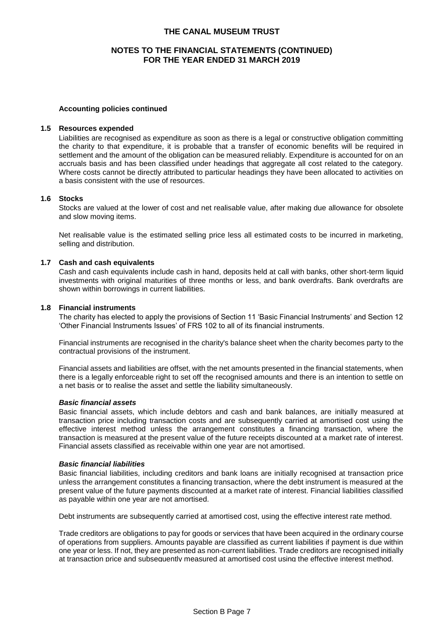## **NOTES TO THE FINANCIAL STATEMENTS (CONTINUED) FOR THE YEAR ENDED 31 MARCH 2019**

#### **Accounting policies continued**

#### **1.5 Resources expended**

Liabilities are recognised as expenditure as soon as there is a legal or constructive obligation committing the charity to that expenditure, it is probable that a transfer of economic benefits will be required in settlement and the amount of the obligation can be measured reliably. Expenditure is accounted for on an accruals basis and has been classified under headings that aggregate all cost related to the category. Where costs cannot be directly attributed to particular headings they have been allocated to activities on a basis consistent with the use of resources.

#### **1.6 Stocks**

Stocks are valued at the lower of cost and net realisable value, after making due allowance for obsolete and slow moving items.

Net realisable value is the estimated selling price less all estimated costs to be incurred in marketing, selling and distribution.

#### **1.7 Cash and cash equivalents**

Cash and cash equivalents include cash in hand, deposits held at call with banks, other short-term liquid investments with original maturities of three months or less, and bank overdrafts. Bank overdrafts are shown within borrowings in current liabilities.

#### **1.8 Financial instruments**

The charity has elected to apply the provisions of Section 11 'Basic Financial Instruments' and Section 12 'Other Financial Instruments Issues' of FRS 102 to all of its financial instruments.

Financial instruments are recognised in the charity's balance sheet when the charity becomes party to the contractual provisions of the instrument.

Financial assets and liabilities are offset, with the net amounts presented in the financial statements, when there is a legally enforceable right to set off the recognised amounts and there is an intention to settle on a net basis or to realise the asset and settle the liability simultaneously.

#### *Basic financial assets*

Basic financial assets, which include debtors and cash and bank balances, are initially measured at transaction price including transaction costs and are subsequently carried at amortised cost using the effective interest method unless the arrangement constitutes a financing transaction, where the transaction is measured at the present value of the future receipts discounted at a market rate of interest. Financial assets classified as receivable within one year are not amortised.

#### *Basic financial liabilities*

Basic financial liabilities, including creditors and bank loans are initially recognised at transaction price unless the arrangement constitutes a financing transaction, where the debt instrument is measured at the present value of the future payments discounted at a market rate of interest. Financial liabilities classified as payable within one year are not amortised.

Debt instruments are subsequently carried at amortised cost, using the effective interest rate method.

Trade creditors are obligations to pay for goods or services that have been acquired in the ordinary course of operations from suppliers. Amounts payable are classified as current liabilities if payment is due within one year or less. If not, they are presented as non-current liabilities. Trade creditors are recognised initially at transaction price and subsequently measured at amortised cost using the effective interest method.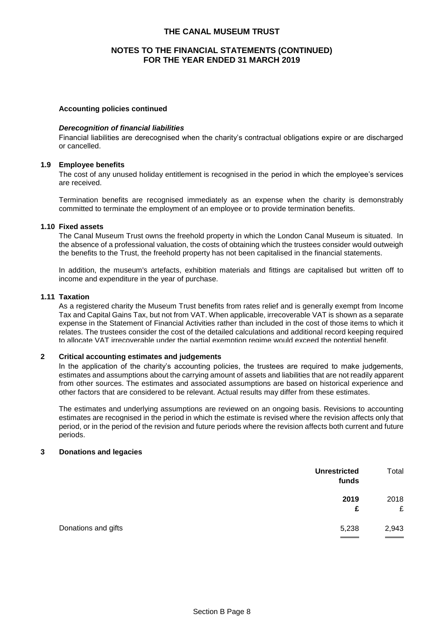### **NOTES TO THE FINANCIAL STATEMENTS (CONTINUED) FOR THE YEAR ENDED 31 MARCH 2019**

## **Accounting policies continued**

#### *Derecognition of financial liabilities*

Financial liabilities are derecognised when the charity's contractual obligations expire or are discharged or cancelled.

#### **1.9 Employee benefits**

The cost of any unused holiday entitlement is recognised in the period in which the employee's services are received.

Termination benefits are recognised immediately as an expense when the charity is demonstrably committed to terminate the employment of an employee or to provide termination benefits.

#### **1.10 Fixed assets**

The Canal Museum Trust owns the freehold property in which the London Canal Museum is situated. In the absence of a professional valuation, the costs of obtaining which the trustees consider would outweigh the benefits to the Trust, the freehold property has not been capitalised in the financial statements.

In addition, the museum's artefacts, exhibition materials and fittings are capitalised but written off to income and expenditure in the year of purchase.

#### **1.11 Taxation**

As a registered charity the Museum Trust benefits from rates relief and is generally exempt from Income Tax and Capital Gains Tax, but not from VAT. When applicable, irrecoverable VAT is shown as a separate expense in the Statement of Financial Activities rather than included in the cost of those items to which it relates. The trustees consider the cost of the detailed calculations and additional record keeping required to allocate VAT irrecoverable under the partial exemption regime would exceed the potential benefit.

#### **2 Critical accounting estimates and judgements**

In the application of the charity's accounting policies, the trustees are required to make judgements, estimates and assumptions about the carrying amount of assets and liabilities that are not readily apparent from other sources. The estimates and associated assumptions are based on historical experience and other factors that are considered to be relevant. Actual results may differ from these estimates.

The estimates and underlying assumptions are reviewed on an ongoing basis. Revisions to accounting estimates are recognised in the period in which the estimate is revised where the revision affects only that period, or in the period of the revision and future periods where the revision affects both current and future periods.

## **3 Donations and legacies**

|                     | <b>Unrestricted</b><br>funds | Total  |
|---------------------|------------------------------|--------|
|                     | 2019                         | 2018   |
|                     | £                            | £      |
| Donations and gifts | 5,238                        | 2,943  |
|                     |                              | ______ |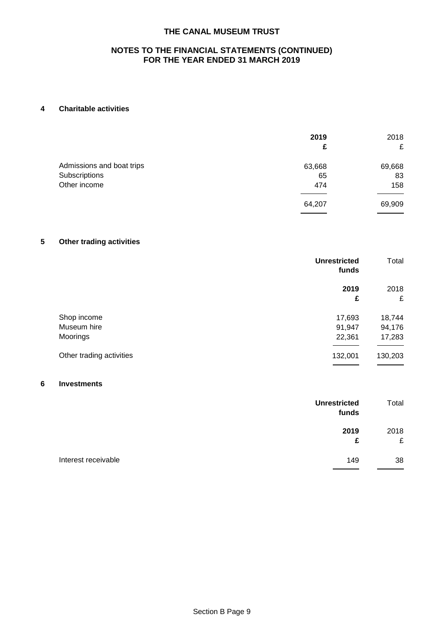## **NOTES TO THE FINANCIAL STATEMENTS (CONTINUED) FOR THE YEAR ENDED 31 MARCH 2019**

## **4 Charitable activities**

|                           | 2019<br>£ | 2018<br>£ |
|---------------------------|-----------|-----------|
| Admissions and boat trips | 63,668    | 69,668    |
| Subscriptions             | 65        | 83        |
| Other income              | 474       | 158       |
|                           | 64,207    | 69,909    |

# **5 Other trading activities**

|                          | <b>Unrestricted</b><br>funds | Total   |
|--------------------------|------------------------------|---------|
|                          | 2019                         | 2018    |
|                          | £                            | £       |
| Shop income              | 17,693                       | 18,744  |
| Museum hire              | 91,947                       | 94,176  |
| Moorings                 | 22,361                       | 17,283  |
| Other trading activities | 132,001                      | 130,203 |
|                          |                              |         |

## **6 Investments**

|                     | <b>Unrestricted</b><br>funds | Total     |
|---------------------|------------------------------|-----------|
|                     | 2019<br>£                    | 2018<br>£ |
| Interest receivable | 149                          | 38        |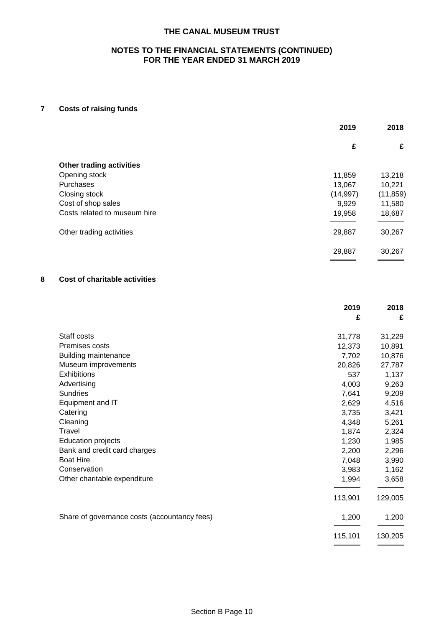## **NOTES TO THE FINANCIAL STATEMENTS (CONTINUED) FOR THE YEAR ENDED 31 MARCH 2019**

## **7 Costs of raising funds**

|                                 | 2019      | 2018      |
|---------------------------------|-----------|-----------|
|                                 | £         | £         |
| <b>Other trading activities</b> |           |           |
| Opening stock                   | 11,859    | 13,218    |
| Purchases                       | 13,067    | 10,221    |
| Closing stock                   | (14, 997) | (11, 859) |
| Cost of shop sales              | 9,929     | 11,580    |
| Costs related to museum hire    | 19,958    | 18,687    |
| Other trading activities        | 29,887    | 30,267    |
|                                 | 29,887    | 30,267    |

## **8 Cost of charitable activities**

| 2019<br>£                                             | 2018<br>£ |
|-------------------------------------------------------|-----------|
|                                                       |           |
| Staff costs<br>31,778                                 | 31,229    |
| Premises costs<br>12,373                              | 10,891    |
| <b>Building maintenance</b><br>7,702                  | 10,876    |
| Museum improvements<br>20,826                         | 27,787    |
| <b>Exhibitions</b><br>537                             | 1,137     |
| Advertising<br>4,003                                  | 9,263     |
| <b>Sundries</b><br>7,641                              | 9,209     |
| Equipment and IT<br>2,629                             | 4,516     |
| Catering<br>3,735                                     | 3,421     |
| Cleaning<br>4,348                                     | 5,261     |
| Travel<br>1,874                                       | 2,324     |
| <b>Education projects</b><br>1,230                    | 1,985     |
| Bank and credit card charges<br>2,200                 | 2,296     |
| <b>Boat Hire</b><br>7,048                             | 3,990     |
| Conservation<br>3,983                                 | 1,162     |
| Other charitable expenditure<br>1,994                 | 3,658     |
| 113,901                                               | 129,005   |
| Share of governance costs (accountancy fees)<br>1,200 | 1,200     |
| 115,101                                               | 130,205   |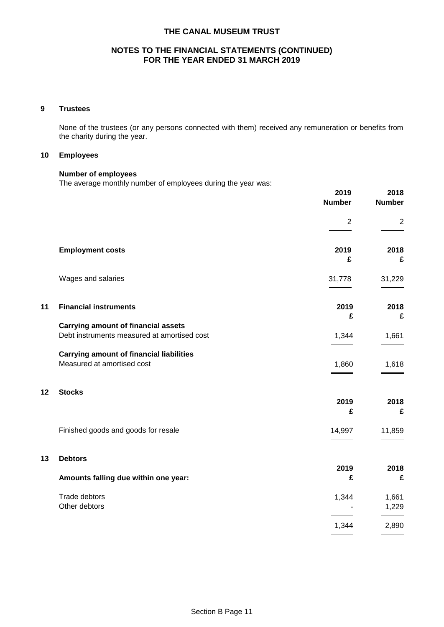## **NOTES TO THE FINANCIAL STATEMENTS (CONTINUED) FOR THE YEAR ENDED 31 MARCH 2019**

### **9 Trustees**

None of the trustees (or any persons connected with them) received any remuneration or benefits from the charity during the year.

### **10 Employees**

### **Number of employees**

The average monthly number of employees during the year was:

|    |                                                                                           | 2019<br><b>Number</b> | 2018<br><b>Number</b> |
|----|-------------------------------------------------------------------------------------------|-----------------------|-----------------------|
|    |                                                                                           | $\overline{2}$        | $\overline{2}$        |
|    | <b>Employment costs</b>                                                                   | 2019<br>£             | 2018<br>£             |
|    | Wages and salaries                                                                        | 31,778                | 31,229                |
| 11 | <b>Financial instruments</b>                                                              | 2019<br>£             | 2018<br>£             |
|    | <b>Carrying amount of financial assets</b><br>Debt instruments measured at amortised cost | 1,344                 | 1,661                 |
|    | <b>Carrying amount of financial liabilities</b><br>Measured at amortised cost             | 1,860                 | 1,618                 |
| 12 | <b>Stocks</b>                                                                             | 2019<br>£             | 2018<br>£             |
|    | Finished goods and goods for resale                                                       | 14,997                | 11,859                |
| 13 | <b>Debtors</b><br>Amounts falling due within one year:                                    | 2019<br>£             | 2018<br>£             |
|    | Trade debtors<br>Other debtors                                                            | 1,344                 | 1,661<br>1,229        |
|    |                                                                                           | 1,344                 | 2,890                 |